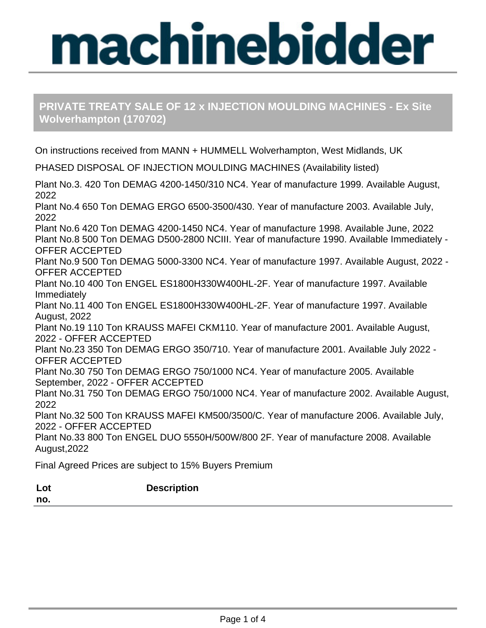## **PRIVATE TREATY SALE OF 12 x INJECTION MOULDING MACHINES - Ex Site Wolverhampton (170702)**

On instructions received from MANN + HUMMELL Wolverhampton, West Midlands, UK PHASED DISPOSAL OF INJECTION MOULDING MACHINES (Availability listed) Plant No.3. 420 Ton DEMAG 4200-1450/310 NC4. Year of manufacture 1999. Available August, 2022 Plant No.4 650 Ton DEMAG ERGO 6500-3500/430. Year of manufacture 2003. Available July, 2022 Plant No.6 420 Ton DEMAG 4200-1450 NC4. Year of manufacture 1998. Available June, 2022 Plant No.8 500 Ton DEMAG D500-2800 NCIII. Year of manufacture 1990. Available Immediately - OFFER ACCEPTED Plant No.9 500 Ton DEMAG 5000-3300 NC4. Year of manufacture 1997. Available August, 2022 - OFFER ACCEPTED Plant No.10 400 Ton ENGEL ES1800H330W400HL-2F. Year of manufacture 1997. Available Immediately Plant No.11 400 Ton ENGEL ES1800H330W400HL-2F. Year of manufacture 1997. Available August, 2022 Plant No.19 110 Ton KRAUSS MAFEI CKM110. Year of manufacture 2001. Available August, 2022 - OFFER ACCEPTED Plant No.23 350 Ton DEMAG ERGO 350/710. Year of manufacture 2001. Available July 2022 - OFFER ACCEPTED Plant No.30 750 Ton DEMAG ERGO 750/1000 NC4. Year of manufacture 2005. Available September, 2022 - OFFER ACCEPTED Plant No.31 750 Ton DEMAG ERGO 750/1000 NC4. Year of manufacture 2002. Available August, 2022 Plant No.32 500 Ton KRAUSS MAFEI KM500/3500/C. Year of manufacture 2006. Available July, 2022 - OFFER ACCEPTED Plant No.33 800 Ton ENGEL DUO 5550H/500W/800 2F. Year of manufacture 2008. Available August,2022 Final Agreed Prices are subject to 15% Buyers Premium **Lot no. Description**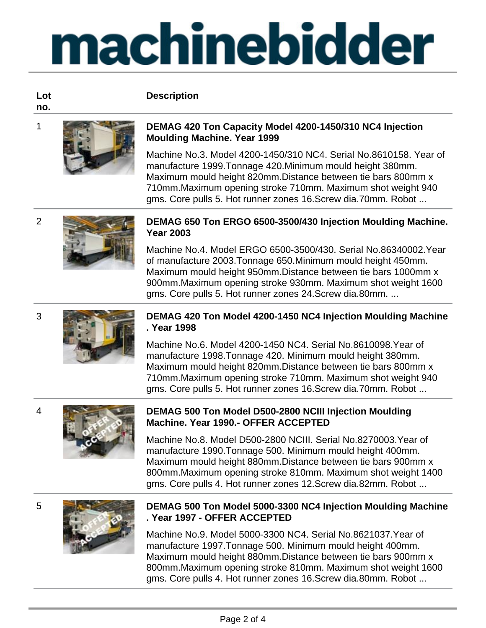**Description**

### **Lot no.**



### 1 **DEMAG 420 Ton Capacity Model 4200-1450/310 NC4 Injection Moulding Machine. Year 1999**

Machine No.3. Model 4200-1450/310 NC4. Serial No.8610158. Year of manufacture 1999.Tonnage 420.Minimum mould height 380mm. Maximum mould height 820mm.Distance between tie bars 800mm x 710mm.Maximum opening stroke 710mm. Maximum shot weight 940 gms. Core pulls 5. Hot runner zones 16.Screw dia.70mm. Robot ...



### 2 **DEMAG 650 Ton ERGO 6500-3500/430 Injection Moulding Machine. Year 2003**

Machine No.4. Model ERGO 6500-3500/430. Serial No.86340002.Year of manufacture 2003.Tonnage 650.Minimum mould height 450mm. Maximum mould height 950mm.Distance between tie bars 1000mm x 900mm.Maximum opening stroke 930mm. Maximum shot weight 1600 gms. Core pulls 5. Hot runner zones 24.Screw dia.80mm. ...



### 3 **DEMAG 420 Ton Model 4200-1450 NC4 Injection Moulding Machine . Year 1998**

Machine No.6. Model 4200-1450 NC4. Serial No.8610098.Year of manufacture 1998.Tonnage 420. Minimum mould height 380mm. Maximum mould height 820mm.Distance between tie bars 800mm x 710mm.Maximum opening stroke 710mm. Maximum shot weight 940 gms. Core pulls 5. Hot runner zones 16.Screw dia.70mm. Robot ...



## 4 **DEMAG 500 Ton Model D500-2800 NCIII Injection Moulding Machine. Year 1990.- OFFER ACCEPTED**

Machine No.8. Model D500-2800 NCIII. Serial No.8270003.Year of manufacture 1990.Tonnage 500. Minimum mould height 400mm. Maximum mould height 880mm.Distance between tie bars 900mm x 800mm.Maximum opening stroke 810mm. Maximum shot weight 1400 gms. Core pulls 4. Hot runner zones 12.Screw dia.82mm. Robot ...



### 5 **DEMAG 500 Ton Model 5000-3300 NC4 Injection Moulding Machine . Year 1997 - OFFER ACCEPTED**

Machine No.9. Model 5000-3300 NC4. Serial No.8621037.Year of manufacture 1997.Tonnage 500. Minimum mould height 400mm. Maximum mould height 880mm.Distance between tie bars 900mm x 800mm.Maximum opening stroke 810mm. Maximum shot weight 1600 gms. Core pulls 4. Hot runner zones 16.Screw dia.80mm. Robot ...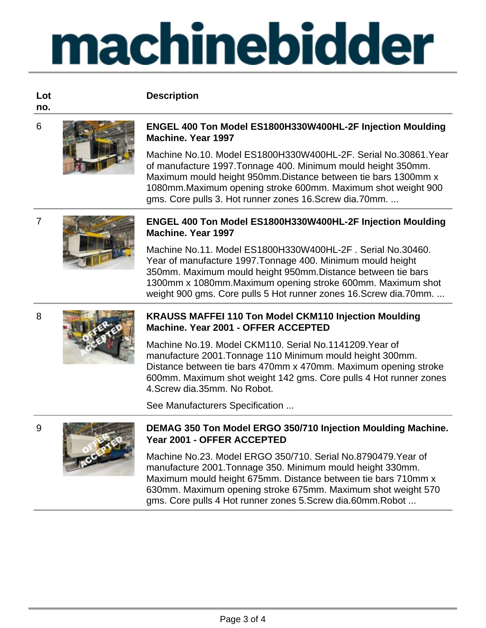**Description**

**Lot no.**



### 6 **ENGEL 400 Ton Model ES1800H330W400HL-2F Injection Moulding Machine. Year 1997**

Machine No.10. Model ES1800H330W400HL-2F. Serial No.30861.Year of manufacture 1997.Tonnage 400. Minimum mould height 350mm. Maximum mould height 950mm.Distance between tie bars 1300mm x 1080mm.Maximum opening stroke 600mm. Maximum shot weight 900 gms. Core pulls 3. Hot runner zones 16.Screw dia.70mm. ...



### 7 **ENGEL 400 Ton Model ES1800H330W400HL-2F Injection Moulding Machine. Year 1997**

Machine No.11. Model ES1800H330W400HL-2F . Serial No.30460. Year of manufacture 1997.Tonnage 400. Minimum mould height 350mm. Maximum mould height 950mm.Distance between tie bars 1300mm x 1080mm.Maximum opening stroke 600mm. Maximum shot weight 900 gms. Core pulls 5 Hot runner zones 16.Screw dia.70mm. ...

$$
\frac{1}{2}\int_{\mathbb{R}^3} \frac{f(x)}{f(x)} dx
$$

### 8 **KRAUSS MAFFEI 110 Ton Model CKM110 Injection Moulding Machine. Year 2001 - OFFER ACCEPTED**

Machine No.19. Model CKM110. Serial No.1141209.Year of manufacture 2001.Tonnage 110 Minimum mould height 300mm. Distance between tie bars 470mm x 470mm. Maximum opening stroke 600mm. Maximum shot weight 142 gms. Core pulls 4 Hot runner zones 4.Screw dia.35mm. No Robot.

See Manufacturers Specification ...



### 9 **DEMAG 350 Ton Model ERGO 350/710 Injection Moulding Machine. Year 2001 - OFFER ACCEPTED**

Machine No.23. Model ERGO 350/710. Serial No.8790479.Year of manufacture 2001.Tonnage 350. Minimum mould height 330mm. Maximum mould height 675mm. Distance between tie bars 710mm x 630mm. Maximum opening stroke 675mm. Maximum shot weight 570 gms. Core pulls 4 Hot runner zones 5.Screw dia.60mm.Robot ...